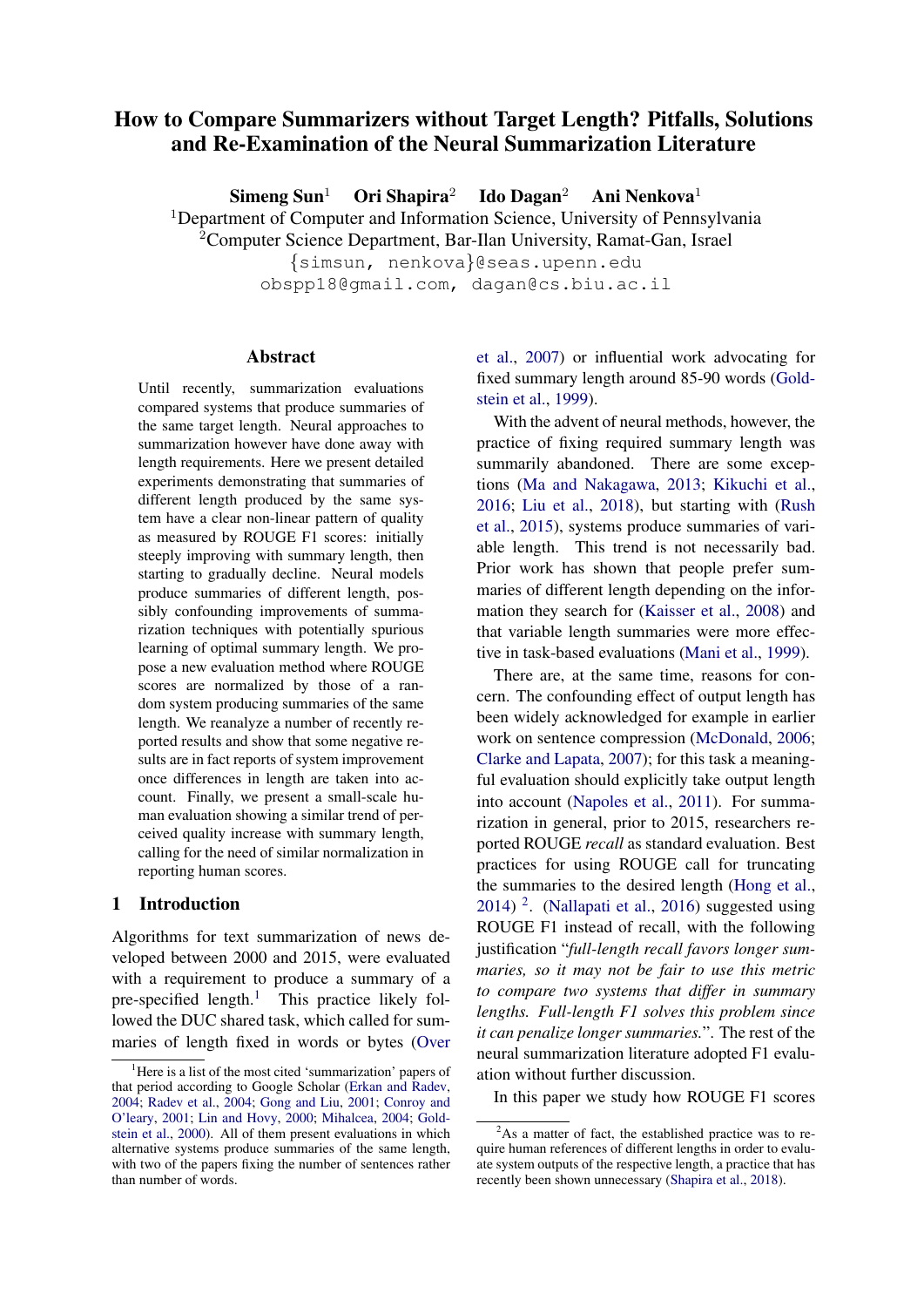# How to Compare Summarizers without Target Length? Pitfalls, Solutions and Re-Examination of the Neural Summarization Literature

 $S$ imeng  $S$ un<sup>1</sup> Ori Shapira<sup>2</sup> Ido Dagan<sup>2</sup> Ani Nenkova<sup>1</sup>

<sup>1</sup>Department of Computer and Information Science, University of Pennsylvania

 $2$ Computer Science Department, Bar-Ilan University, Ramat-Gan, Israel

{simsun, nenkova}@seas.upenn.edu obspp18@gmail.com, dagan@cs.biu.ac.il

Abstract

Until recently, summarization evaluations compared systems that produce summaries of the same target length. Neural approaches to summarization however have done away with length requirements. Here we present detailed experiments demonstrating that summaries of different length produced by the same system have a clear non-linear pattern of quality as measured by ROUGE F1 scores: initially steeply improving with summary length, then starting to gradually decline. Neural models produce summaries of different length, possibly confounding improvements of summarization techniques with potentially spurious learning of optimal summary length. We propose a new evaluation method where ROUGE scores are normalized by those of a random system producing summaries of the same length. We reanalyze a number of recently reported results and show that some negative results are in fact reports of system improvement once differences in length are taken into account. Finally, we present a small-scale human evaluation showing a similar trend of perceived quality increase with summary length, calling for the need of similar normalization in reporting human scores.

#### 1 Introduction

Algorithms for text summarization of news developed between 2000 and 2015, were evaluated with a requirement to produce a summary of a pre-specified length.<sup>[1](#page-0-0)</sup> This practice likely followed the DUC shared task, which called for summaries of length fixed in words or bytes [\(Over](#page-7-0) [et al.,](#page-7-0) [2007\)](#page-7-0) or influential work advocating for fixed summary length around 85-90 words [\(Gold](#page-6-4)[stein et al.,](#page-6-4) [1999\)](#page-6-4).

With the advent of neural methods, however, the practice of fixing required summary length was summarily abandoned. There are some exceptions [\(Ma and Nakagawa,](#page-7-4) [2013;](#page-7-4) [Kikuchi et al.,](#page-7-5) [2016;](#page-7-5) [Liu et al.,](#page-7-6) [2018\)](#page-7-6), but starting with [\(Rush](#page-7-7) [et al.,](#page-7-7) [2015\)](#page-7-7), systems produce summaries of variable length. This trend is not necessarily bad. Prior work has shown that people prefer summaries of different length depending on the information they search for [\(Kaisser et al.,](#page-7-8) [2008\)](#page-7-8) and that variable length summaries were more effective in task-based evaluations [\(Mani et al.,](#page-7-9) [1999\)](#page-7-9).

There are, at the same time, reasons for concern. The confounding effect of output length has been widely acknowledged for example in earlier work on sentence compression [\(McDonald,](#page-7-10) [2006;](#page-7-10) [Clarke and Lapata,](#page-6-5) [2007\)](#page-6-5); for this task a meaningful evaluation should explicitly take output length into account [\(Napoles et al.,](#page-7-11) [2011\)](#page-7-11). For summarization in general, prior to 2015, researchers reported ROUGE *recall* as standard evaluation. Best practices for using ROUGE call for truncating the summaries to the desired length [\(Hong et al.,](#page-6-6) [2014\)](#page-6-6) [2](#page-0-1) . [\(Nallapati et al.,](#page-7-12) [2016\)](#page-7-12) suggested using ROUGE F1 instead of recall, with the following justification "*full-length recall favors longer summaries, so it may not be fair to use this metric to compare two systems that differ in summary lengths. Full-length F1 solves this problem since it can penalize longer summaries.*". The rest of the neural summarization literature adopted F1 evaluation without further discussion.

In this paper we study how ROUGE F1 scores

<span id="page-0-0"></span><sup>&</sup>lt;sup>1</sup>[Here is a list of the most cited 'summarization' papers of](#page-7-0) [that period according to Google Scholar \(Erkan and Radev,](#page-7-0) [2004;](#page-6-0) [Radev et al.,](#page-7-1) [2004;](#page-7-1) [Gong and Liu,](#page-7-0) [2001;](#page-6-1) [Conroy and](#page-6-2) [O'leary,](#page-6-2) [2001;](#page-6-2) [Lin and Hovy,](#page-7-0) [2000;](#page-7-2) [Mihalcea,](#page-7-3) [2004;](#page-7-3) [Gold](#page-6-3)[stein et al.,](#page-6-3) [2000\). All of them present evaluations in which](#page-7-0) [alternative systems produce summaries of the same length,](#page-7-0) [with two of the papers fixing the number of sentences rather](#page-7-0) [than number of words.](#page-7-0)

<span id="page-0-1"></span> $2$ As a matter of fact, the established practice was to require human references of different lengths in order to evaluate system outputs of the respective length, a practice that has recently been shown unnecessary [\(Shapira et al.,](#page-7-13) [2018\)](#page-7-13).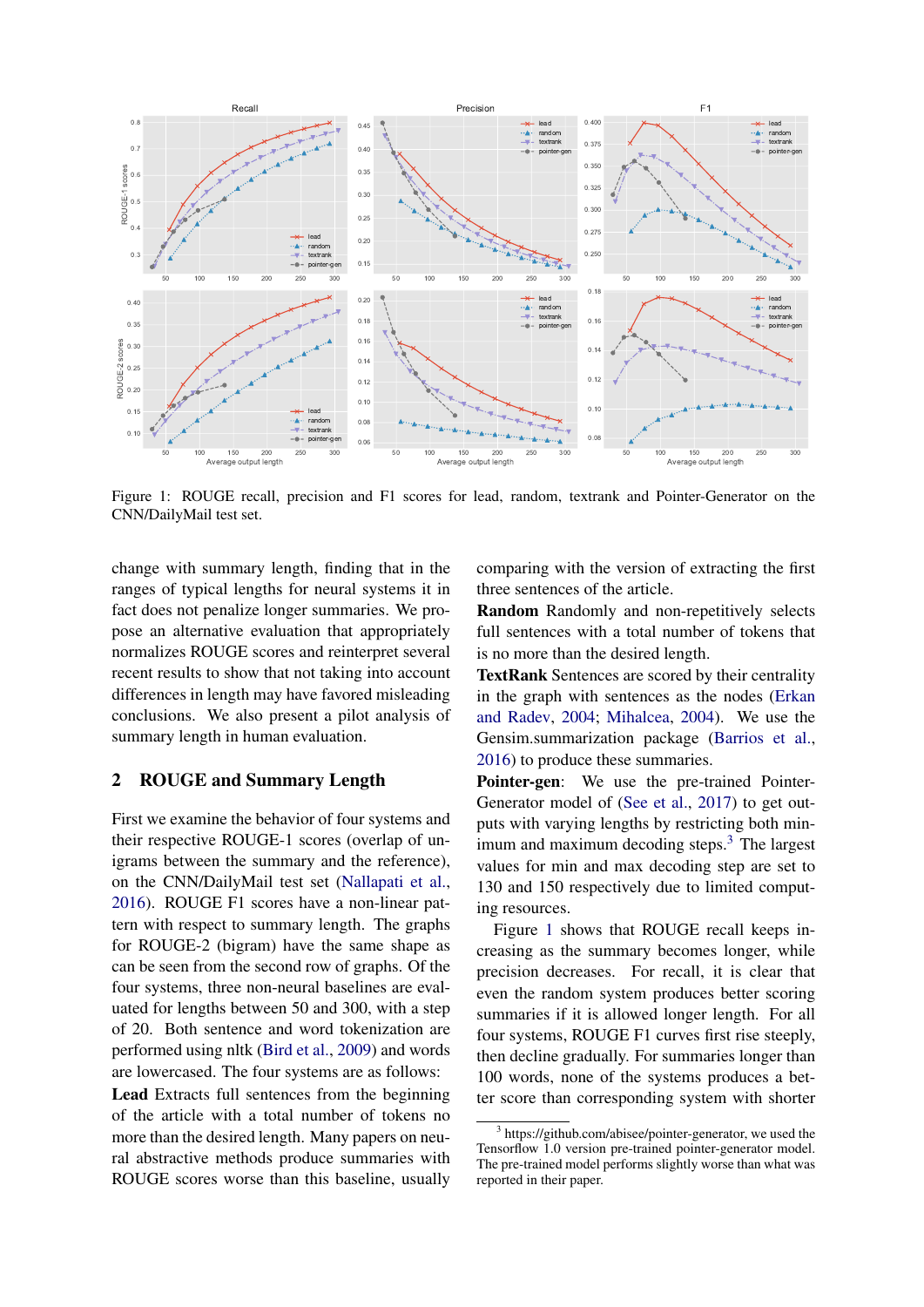<span id="page-1-1"></span>

Figure 1: ROUGE recall, precision and F1 scores for lead, random, textrank and Pointer-Generator on the CNN/DailyMail test set.

change with summary length, finding that in the ranges of typical lengths for neural systems it in fact does not penalize longer summaries. We propose an alternative evaluation that appropriately normalizes ROUGE scores and reinterpret several recent results to show that not taking into account differences in length may have favored misleading conclusions. We also present a pilot analysis of summary length in human evaluation.

#### <span id="page-1-2"></span>2 ROUGE and Summary Length

First we examine the behavior of four systems and their respective ROUGE-1 scores (overlap of unigrams between the summary and the reference), on the CNN/DailyMail test set [\(Nallapati et al.,](#page-7-12) [2016\)](#page-7-12). ROUGE F1 scores have a non-linear pattern with respect to summary length. The graphs for ROUGE-2 (bigram) have the same shape as can be seen from the second row of graphs. Of the four systems, three non-neural baselines are evaluated for lengths between 50 and 300, with a step of 20. Both sentence and word tokenization are performed using nltk [\(Bird et al.,](#page-6-7) [2009\)](#page-6-7) and words are lowercased. The four systems are as follows:

Lead Extracts full sentences from the beginning of the article with a total number of tokens no more than the desired length. Many papers on neural abstractive methods produce summaries with ROUGE scores worse than this baseline, usually comparing with the version of extracting the first three sentences of the article.

Random Randomly and non-repetitively selects full sentences with a total number of tokens that is no more than the desired length.

TextRank Sentences are scored by their centrality in the graph with sentences as the nodes [\(Erkan](#page-6-0) [and Radev,](#page-6-0) [2004;](#page-6-0) [Mihalcea,](#page-7-3) [2004\)](#page-7-3). We use the Gensim.summarization package [\(Barrios et al.,](#page-6-8) [2016\)](#page-6-8) to produce these summaries.

Pointer-gen: We use the pre-trained Pointer-Generator model of [\(See et al.,](#page-7-14) [2017\)](#page-7-14) to get outputs with varying lengths by restricting both minimum and maximum decoding steps. $3$  The largest values for min and max decoding step are set to 130 and 150 respectively due to limited computing resources.

Figure [1](#page-1-1) shows that ROUGE recall keeps increasing as the summary becomes longer, while precision decreases. For recall, it is clear that even the random system produces better scoring summaries if it is allowed longer length. For all four systems, ROUGE F1 curves first rise steeply, then decline gradually. For summaries longer than 100 words, none of the systems produces a better score than corresponding system with shorter

<span id="page-1-0"></span><sup>&</sup>lt;sup>3</sup> https://github.com/abisee/pointer-generator, we used the Tensorflow 1.0 version pre-trained pointer-generator model. The pre-trained model performs slightly worse than what was reported in their paper.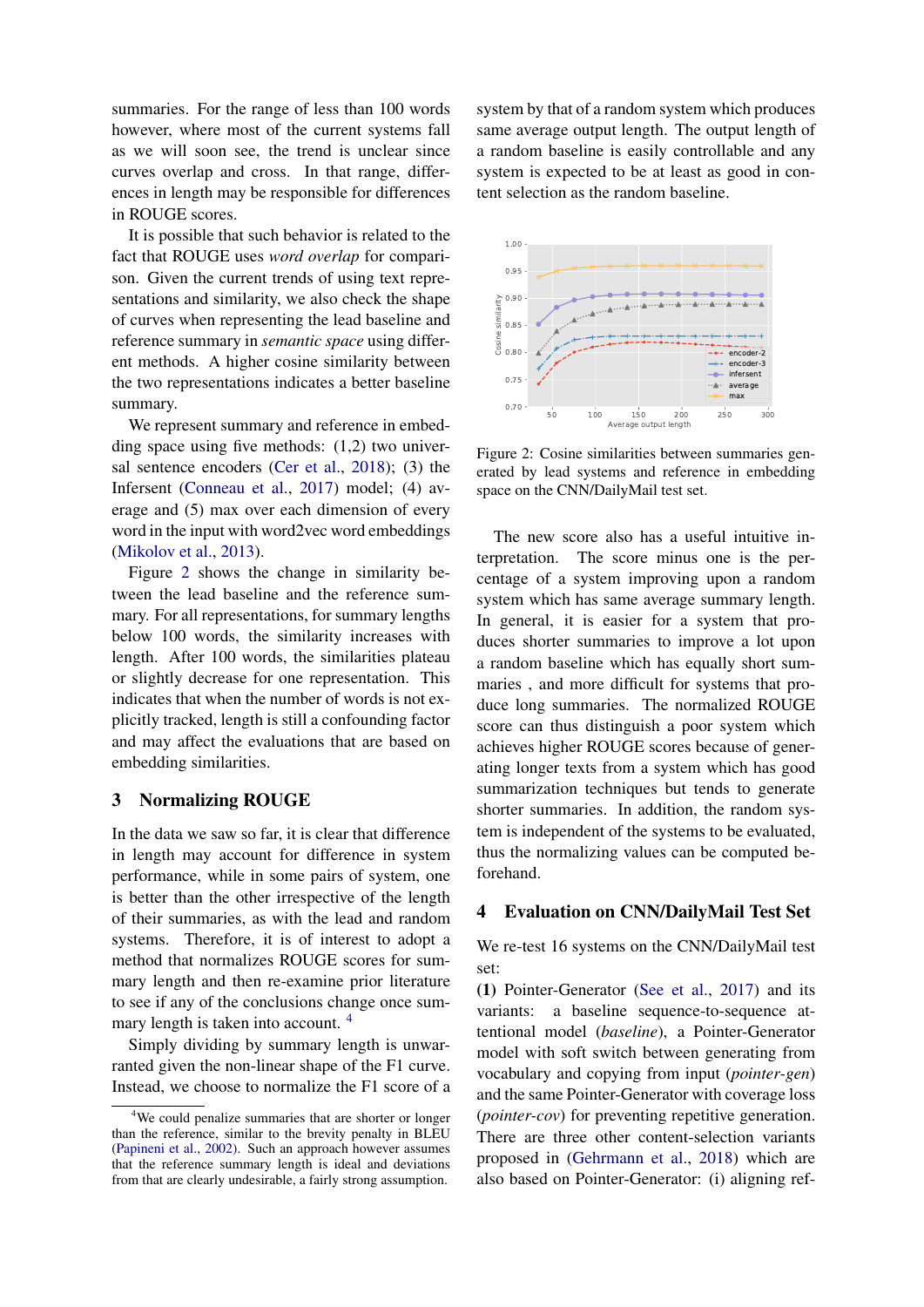summaries. For the range of less than 100 words however, where most of the current systems fall as we will soon see, the trend is unclear since curves overlap and cross. In that range, differences in length may be responsible for differences in ROUGE scores.

It is possible that such behavior is related to the fact that ROUGE uses *word overlap* for comparison. Given the current trends of using text representations and similarity, we also check the shape of curves when representing the lead baseline and reference summary in *semantic space* using different methods. A higher cosine similarity between the two representations indicates a better baseline summary.

We represent summary and reference in embedding space using five methods: (1,2) two universal sentence encoders [\(Cer et al.,](#page-6-9) [2018\)](#page-6-9); (3) the Infersent [\(Conneau et al.,](#page-6-10) [2017\)](#page-6-10) model; (4) average and (5) max over each dimension of every word in the input with word2vec word embeddings [\(Mikolov et al.,](#page-7-15) [2013\)](#page-7-15).

Figure [2](#page-2-0) shows the change in similarity between the lead baseline and the reference summary. For all representations, for summary lengths below 100 words, the similarity increases with length. After 100 words, the similarities plateau or slightly decrease for one representation. This indicates that when the number of words is not explicitly tracked, length is still a confounding factor and may affect the evaluations that are based on embedding similarities.

#### 3 Normalizing ROUGE

In the data we saw so far, it is clear that difference in length may account for difference in system performance, while in some pairs of system, one is better than the other irrespective of the length of their summaries, as with the lead and random systems. Therefore, it is of interest to adopt a method that normalizes ROUGE scores for summary length and then re-examine prior literature to see if any of the conclusions change once sum-mary length is taken into account.<sup>[4](#page-2-1)</sup>

Simply dividing by summary length is unwarranted given the non-linear shape of the F1 curve. Instead, we choose to normalize the F1 score of a

system by that of a random system which produces same average output length. The output length of a random baseline is easily controllable and any system is expected to be at least as good in content selection as the random baseline.

<span id="page-2-0"></span>

Figure 2: Cosine similarities between summaries generated by lead systems and reference in embedding space on the CNN/DailyMail test set.

The new score also has a useful intuitive interpretation. The score minus one is the percentage of a system improving upon a random system which has same average summary length. In general, it is easier for a system that produces shorter summaries to improve a lot upon a random baseline which has equally short summaries , and more difficult for systems that produce long summaries. The normalized ROUGE score can thus distinguish a poor system which achieves higher ROUGE scores because of generating longer texts from a system which has good summarization techniques but tends to generate shorter summaries. In addition, the random system is independent of the systems to be evaluated, thus the normalizing values can be computed beforehand.

### 4 Evaluation on CNN/DailyMail Test Set

We re-test 16 systems on the CNN/DailyMail test set:

(1) Pointer-Generator [\(See et al.,](#page-7-14) [2017\)](#page-7-14) and its variants: a baseline sequence-to-sequence attentional model (*baseline*), a Pointer-Generator model with soft switch between generating from vocabulary and copying from input (*pointer-gen*) and the same Pointer-Generator with coverage loss (*pointer-cov*) for preventing repetitive generation. There are three other content-selection variants proposed in [\(Gehrmann et al.,](#page-6-11) [2018\)](#page-6-11) which are also based on Pointer-Generator: (i) aligning ref-

<span id="page-2-1"></span><sup>&</sup>lt;sup>4</sup>We could penalize summaries that are shorter or longer than the reference, similar to the brevity penalty in BLEU [\(Papineni et al.,](#page-7-16) [2002\)](#page-7-16). Such an approach however assumes that the reference summary length is ideal and deviations from that are clearly undesirable, a fairly strong assumption.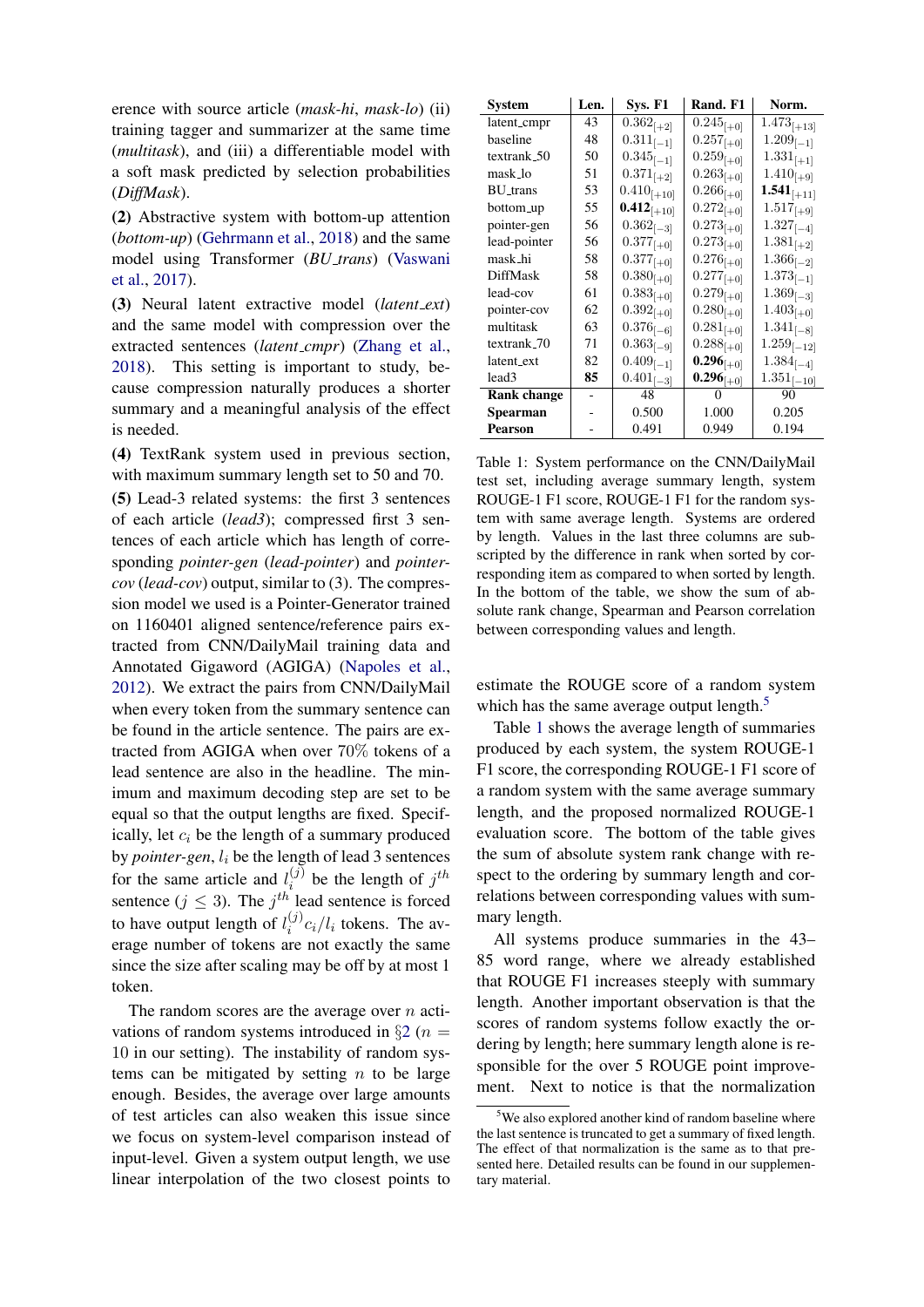erence with source article (*mask-hi*, *mask-lo*) (ii) training tagger and summarizer at the same time (*multitask*), and (iii) a differentiable model with a soft mask predicted by selection probabilities (*DiffMask*).

(2) Abstractive system with bottom-up attention (*bottom-up*) [\(Gehrmann et al.,](#page-6-11) [2018\)](#page-6-11) and the same model using Transformer (*BU trans*) [\(Vaswani](#page-7-17) [et al.,](#page-7-17) [2017\)](#page-7-17).

(3) Neural latent extractive model (*latent ext*) and the same model with compression over the extracted sentences (*latent cmpr*) [\(Zhang et al.,](#page-7-18) [2018\)](#page-7-18). This setting is important to study, because compression naturally produces a shorter summary and a meaningful analysis of the effect is needed.

(4) TextRank system used in previous section, with maximum summary length set to 50 and 70.

(5) Lead-3 related systems: the first 3 sentences of each article (*lead3*); compressed first 3 sentences of each article which has length of corresponding *pointer-gen* (*lead-pointer*) and *pointercov* (*lead-cov*) output, similar to (3). The compression model we used is a Pointer-Generator trained on 1160401 aligned sentence/reference pairs extracted from CNN/DailyMail training data and Annotated Gigaword (AGIGA) [\(Napoles et al.,](#page-7-19) [2012\)](#page-7-19). We extract the pairs from CNN/DailyMail when every token from the summary sentence can be found in the article sentence. The pairs are extracted from AGIGA when over 70% tokens of a lead sentence are also in the headline. The minimum and maximum decoding step are set to be equal so that the output lengths are fixed. Specifically, let  $c_i$  be the length of a summary produced by *pointer-gen*,  $l_i$  be the length of lead 3 sentences for the same article and  $l_i^{(j)}$  $i^{(j)}$  be the length of  $j^{th}$ sentence ( $j \leq 3$ ). The  $j<sup>th</sup>$  lead sentence is forced to have output length of  $l_i^{(j)}$  $i^{(j)}c_i/l_i$  tokens. The average number of tokens are not exactly the same since the size after scaling may be off by at most 1 token.

The random scores are the average over  $n$  activations of random systems introduced in  $\S2(n =$  $\S2(n =$  $\S2(n =$ 10 in our setting). The instability of random systems can be mitigated by setting  $n$  to be large enough. Besides, the average over large amounts of test articles can also weaken this issue since we focus on system-level comparison instead of input-level. Given a system output length, we use linear interpolation of the two closest points to

<span id="page-3-1"></span>

| System            | Len. | <b>Sys. F1</b>  | Rand. F1       | Norm.           |
|-------------------|------|-----------------|----------------|-----------------|
| latent_cmpr       | 43   | $0.362_{[+2]}$  | $0.245_{[+0]}$ | $1.473_{[+13]}$ |
| baseline          | 48   | $0.311_{[-1]}$  | $0.257_{[+0]}$ | $1.209_{[-1]}$  |
| textrank_50       | 50   | $0.345_{[-1]}$  | $0.259_{[+0]}$ | $1.331_{[+1]}$  |
| mask_lo           | 51   | $0.371_{[+2]}$  | $0.263_{[+0]}$ | $1.410_{[+9]}$  |
| <b>BU_trans</b>   | 53   | $0.410_{[+10]}$ | $0.266_{[+0]}$ | $1.541_{[+11]}$ |
| bottom_up         | 55   | $0.412_{[+10]}$ | $0.272_{[+0]}$ | $1.517_{[+9]}$  |
| pointer-gen       | 56   | $0.362_{[-3]}$  | $0.273_{[+0]}$ | $1.327_{[-4]}$  |
| lead-pointer      | 56   | $0.377_{[+0]}$  | $0.273_{[+0]}$ | $1.381_{[+2]}$  |
| mask hi           | 58   | $0.377_{[+0]}$  | $0.276_{[+0]}$ | $1.366_{[-2]}$  |
| <b>DiffMask</b>   | 58   | $0.380_{[+0]}$  | $0.277_{[+0]}$ | $1.373_{[-1]}$  |
| lead-cov          | 61   | $0.383_{[+0]}$  | $0.279_{[+0]}$ | $1.369_{[-3]}$  |
| pointer-cov       | 62   | $0.392_{[+0]}$  | $0.280_{[+0]}$ | $1.403_{[+0]}$  |
| multitask         | 63   | $0.376_{[-6]}$  | $0.281_{[+0]}$ | $1.341_{[-8]}$  |
| textrank_70       | 71   | $0.363_{[-9]}$  | $0.288_{[+0]}$ | $1.259_{[-12]}$ |
| latent_ext        | 82   | $0.409_{[-1]}$  | $0.296_{[+0]}$ | $1.384_{[-4]}$  |
| lead <sub>3</sub> | 85   | $0.401_{[-3]}$  | $0.296_{[+0]}$ | $1.351_{[-10]}$ |
| Rank change       |      | 48              |                | 90              |
| Spearman          |      | 0.500           | 1.000          | 0.205           |
| <b>Pearson</b>    |      | 0.491           | 0.949          | 0.194           |

Table 1: System performance on the CNN/DailyMail test set, including average summary length, system ROUGE-1 F1 score, ROUGE-1 F1 for the random system with same average length. Systems are ordered by length. Values in the last three columns are subscripted by the difference in rank when sorted by corresponding item as compared to when sorted by length. In the bottom of the table, we show the sum of absolute rank change, Spearman and Pearson correlation between corresponding values and length.

estimate the ROUGE score of a random system which has the same average output length.<sup>[5](#page-3-0)</sup>

Table [1](#page-3-1) shows the average length of summaries produced by each system, the system ROUGE-1 F1 score, the corresponding ROUGE-1 F1 score of a random system with the same average summary length, and the proposed normalized ROUGE-1 evaluation score. The bottom of the table gives the sum of absolute system rank change with respect to the ordering by summary length and correlations between corresponding values with summary length.

All systems produce summaries in the 43– 85 word range, where we already established that ROUGE F1 increases steeply with summary length. Another important observation is that the scores of random systems follow exactly the ordering by length; here summary length alone is responsible for the over 5 ROUGE point improvement. Next to notice is that the normalization

<span id="page-3-0"></span><sup>&</sup>lt;sup>5</sup>We also explored another kind of random baseline where the last sentence is truncated to get a summary of fixed length. The effect of that normalization is the same as to that presented here. Detailed results can be found in our supplementary material.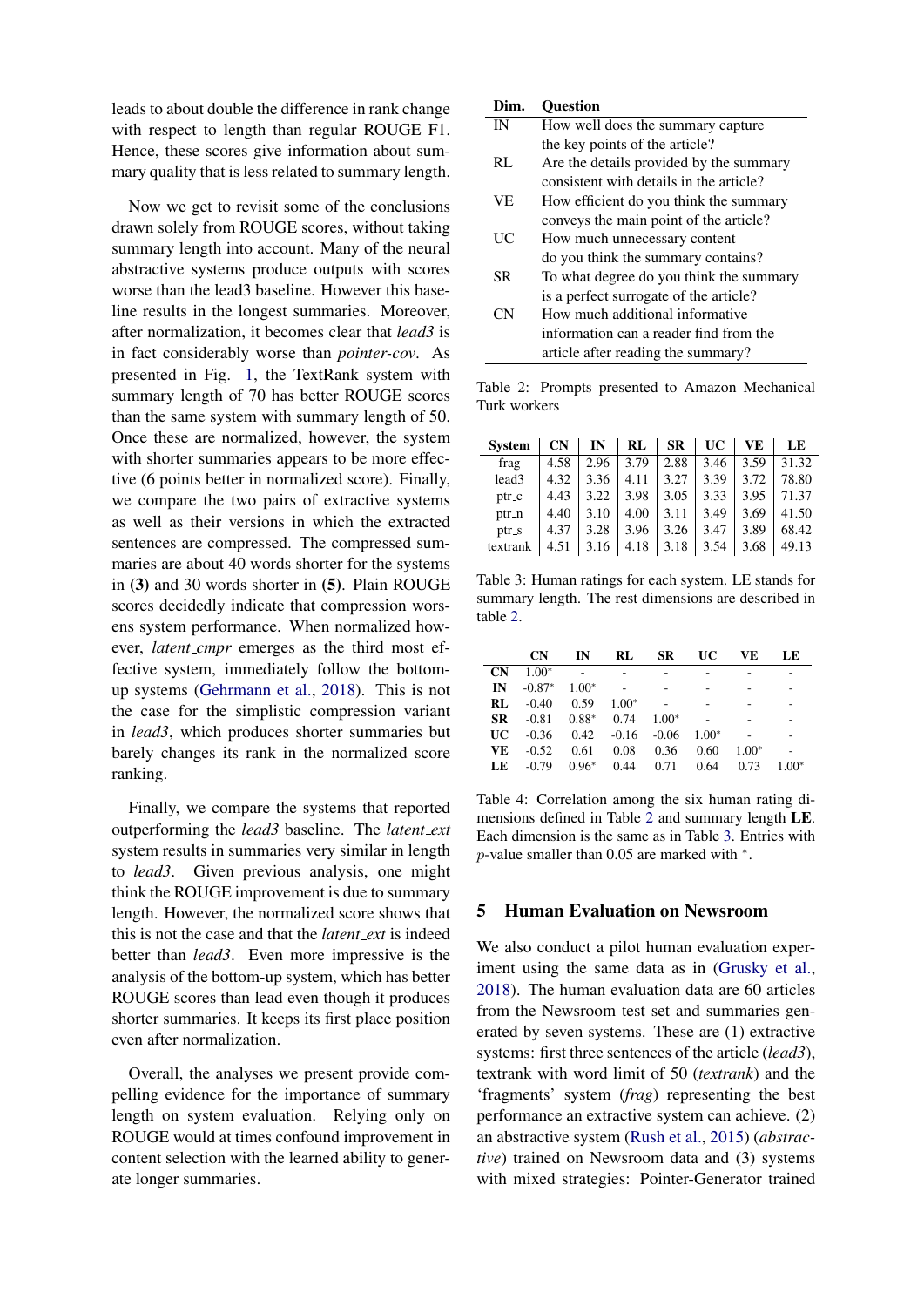leads to about double the difference in rank change with respect to length than regular ROUGE F1. Hence, these scores give information about summary quality that is less related to summary length.

Now we get to revisit some of the conclusions drawn solely from ROUGE scores, without taking summary length into account. Many of the neural abstractive systems produce outputs with scores worse than the lead3 baseline. However this baseline results in the longest summaries. Moreover, after normalization, it becomes clear that *lead3* is in fact considerably worse than *pointer-cov*. As presented in Fig. [1,](#page-1-1) the TextRank system with summary length of 70 has better ROUGE scores than the same system with summary length of 50. Once these are normalized, however, the system with shorter summaries appears to be more effective (6 points better in normalized score). Finally, we compare the two pairs of extractive systems as well as their versions in which the extracted sentences are compressed. The compressed summaries are about 40 words shorter for the systems in (3) and 30 words shorter in (5). Plain ROUGE scores decidedly indicate that compression worsens system performance. When normalized however, *latent cmpr* emerges as the third most effective system, immediately follow the bottomup systems [\(Gehrmann et al.,](#page-6-11) [2018\)](#page-6-11). This is not the case for the simplistic compression variant in *lead3*, which produces shorter summaries but barely changes its rank in the normalized score ranking.

Finally, we compare the systems that reported outperforming the *lead3* baseline. The *latent ext* system results in summaries very similar in length to *lead3*. Given previous analysis, one might think the ROUGE improvement is due to summary length. However, the normalized score shows that this is not the case and that the *latent ext* is indeed better than *lead3*. Even more impressive is the analysis of the bottom-up system, which has better ROUGE scores than lead even though it produces shorter summaries. It keeps its first place position even after normalization.

Overall, the analyses we present provide compelling evidence for the importance of summary length on system evaluation. Relying only on ROUGE would at times confound improvement in content selection with the learned ability to generate longer summaries.

<span id="page-4-0"></span>

| Dim.            | <b>Ouestion</b>                         |
|-----------------|-----------------------------------------|
| IN              | How well does the summary capture       |
|                 | the key points of the article?          |
| RL              | Are the details provided by the summary |
|                 | consistent with details in the article? |
| VE.             | How efficient do you think the summary  |
|                 | conveys the main point of the article?  |
| $\overline{UC}$ | How much unnecessary content            |
|                 | do you think the summary contains?      |
| SR.             | To what degree do you think the summary |
|                 | is a perfect surrogate of the article?  |
| CN              | How much additional informative         |
|                 | information can a reader find from the  |
|                 | article after reading the summary?      |
|                 |                                         |

Table 2: Prompts presented to Amazon Mechanical Turk workers

<span id="page-4-1"></span>

| <b>System</b> | CN   | IN   | RL   | <b>SR</b> | UC   | VE   | LE    |
|---------------|------|------|------|-----------|------|------|-------|
| frag          | 4.58 | 2.96 | 3.79 | 2.88      | 3.46 | 3.59 | 31.32 |
| lead3         | 4.32 | 3.36 | 4.11 | 3.27      | 3.39 | 3.72 | 78.80 |
| ptr_c         | 4.43 | 3.22 | 3.98 | 3.05      | 3.33 | 3.95 | 71.37 |
| ptr_n         | 4.40 | 3.10 | 4.00 | 3.11      | 3.49 | 3.69 | 41.50 |
| ptr_s         | 4.37 | 3.28 | 3.96 | 3.26      | 3.47 | 3.89 | 68.42 |
| textrank      | 4.51 | 3.16 | 4.18 | 3.18      | 3.54 | 3.68 | 49.13 |

Table 3: Human ratings for each system. LE stands for summary length. The rest dimensions are described in table [2.](#page-4-0)

<span id="page-4-2"></span>

|                                                      | CN IN RL SR UC VE LE |  |  |  |
|------------------------------------------------------|----------------------|--|--|--|
| $CN \mid 1.00^* \quad - \quad -$                     |                      |  |  |  |
| $IN \mid -0.87^* \quad 1.00^* \quad - \quad -$       |                      |  |  |  |
| <b>RL</b> $-0.40$ 0.59 $1.00^*$ -                    |                      |  |  |  |
| $\text{SR}$   -0.81 0.88* 0.74 1.00* -               |                      |  |  |  |
| $UC$   -0.36 0.42 -0.16 -0.06 1.00*                  |                      |  |  |  |
| <b>VE</b> $-0.52$ 0.61 0.08 0.36 0.60 1.00*          |                      |  |  |  |
| <b>LE</b> $-0.79$ $0.96^*$ 0.44 0.71 0.64 0.73 1.00* |                      |  |  |  |

Table 4: Correlation among the six human rating dimensions defined in Table [2](#page-4-0) and summary length LE. Each dimension is the same as in Table [3.](#page-4-1) Entries with  $p$ -value smaller than 0.05 are marked with  $*$ .

### 5 Human Evaluation on Newsroom

We also conduct a pilot human evaluation experiment using the same data as in [\(Grusky et al.,](#page-6-12) [2018\)](#page-6-12). The human evaluation data are 60 articles from the Newsroom test set and summaries generated by seven systems. These are (1) extractive systems: first three sentences of the article (*lead3*), textrank with word limit of 50 (*textrank*) and the 'fragments' system (*frag*) representing the best performance an extractive system can achieve. (2) an abstractive system [\(Rush et al.,](#page-7-7) [2015\)](#page-7-7) (*abstractive*) trained on Newsroom data and (3) systems with mixed strategies: Pointer-Generator trained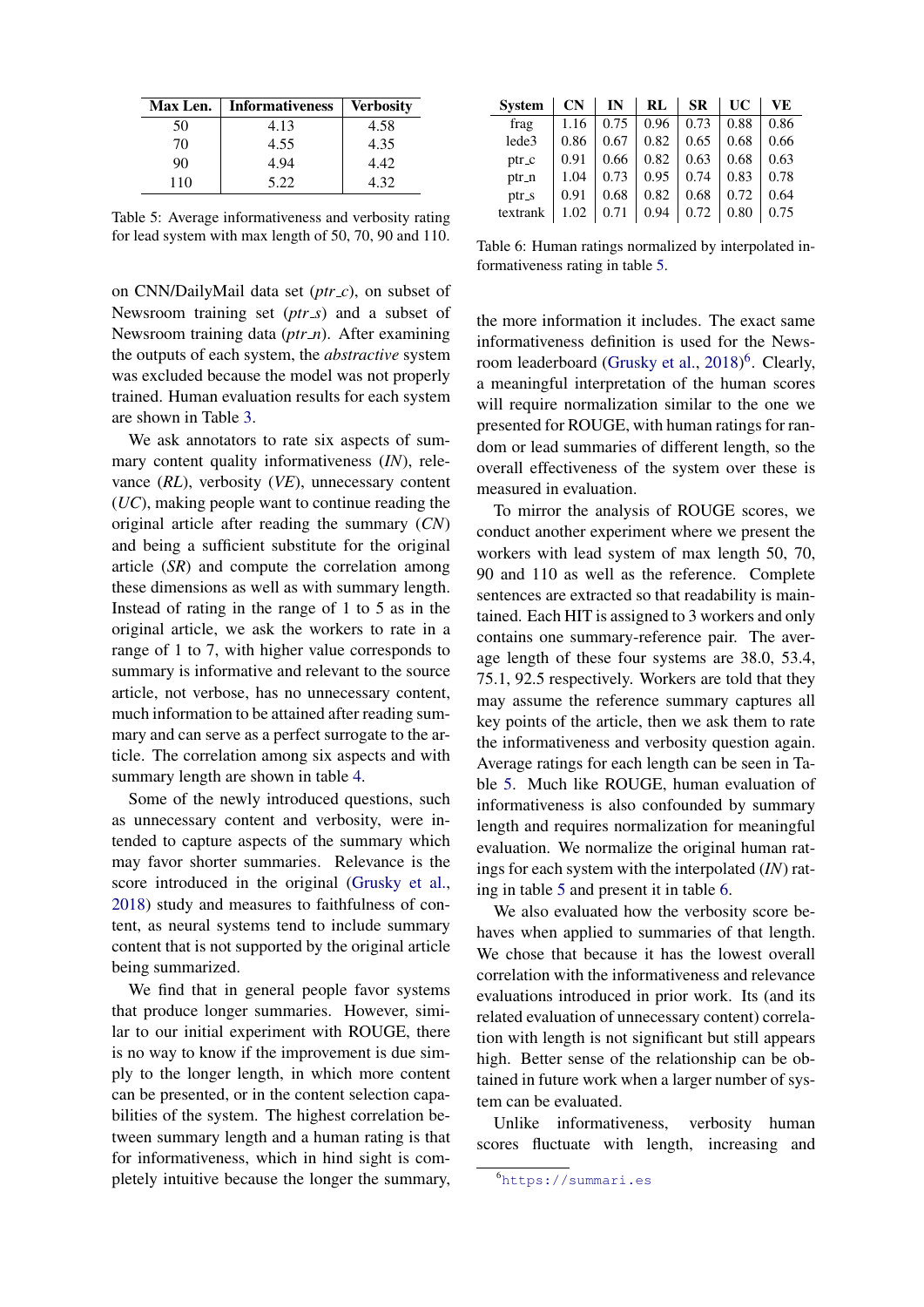<span id="page-5-0"></span>

| <b>Max Len.</b> | <b>Informativeness</b> | Verbositv |
|-----------------|------------------------|-----------|
| 50              | 4.13                   | 4.58      |
| 70              | 4.55                   | 4.35      |
| 90              | 4.94                   | 4.42      |
| 110             | 5.22                   | 4.32      |

Table 5: Average informativeness and verbosity rating for lead system with max length of 50, 70, 90 and 110.

on CNN/DailyMail data set (*ptr c*), on subset of Newsroom training set (*ptr\_s*) and a subset of Newsroom training data (*ptr n*). After examining the outputs of each system, the *abstractive* system was excluded because the model was not properly trained. Human evaluation results for each system are shown in Table [3.](#page-4-1)

We ask annotators to rate six aspects of summary content quality informativeness (*IN*), relevance (*RL*), verbosity (*VE*), unnecessary content (*UC*), making people want to continue reading the original article after reading the summary (*CN*) and being a sufficient substitute for the original article (*SR*) and compute the correlation among these dimensions as well as with summary length. Instead of rating in the range of 1 to 5 as in the original article, we ask the workers to rate in a range of 1 to 7, with higher value corresponds to summary is informative and relevant to the source article, not verbose, has no unnecessary content, much information to be attained after reading summary and can serve as a perfect surrogate to the article. The correlation among six aspects and with summary length are shown in table [4.](#page-4-2)

Some of the newly introduced questions, such as unnecessary content and verbosity, were intended to capture aspects of the summary which may favor shorter summaries. Relevance is the score introduced in the original [\(Grusky et al.,](#page-6-12) [2018\)](#page-6-12) study and measures to faithfulness of content, as neural systems tend to include summary content that is not supported by the original article being summarized.

We find that in general people favor systems that produce longer summaries. However, similar to our initial experiment with ROUGE, there is no way to know if the improvement is due simply to the longer length, in which more content can be presented, or in the content selection capabilities of the system. The highest correlation between summary length and a human rating is that for informativeness, which in hind sight is completely intuitive because the longer the summary,

<span id="page-5-2"></span>

| <b>System</b> | CN   | IN   | RI   | <b>SR</b> | UC   | VE   |
|---------------|------|------|------|-----------|------|------|
| frag          | 1.16 | 0.75 | 0.96 | 0.73      | 0.88 | 0.86 |
| lede3         | 0.86 | 0.67 | 0.82 | 0.65      | 0.68 | 0.66 |
| ptr_c         | 0.91 | 0.66 | 0.82 | 0.63      | 0.68 | 0.63 |
| $ptr_n$       | 1.04 | 0.73 | 0.95 | 0.74      | 0.83 | 0.78 |
| ptr_s         | 0.91 | 0.68 | 0.82 | 0.68      | 0.72 | 0.64 |
| textrank      | 1.02 | 0.71 | 0.94 | 0.72      | 0.80 | 0.75 |

Table 6: Human ratings normalized by interpolated informativeness rating in table [5.](#page-5-0)

the more information it includes. The exact same informativeness definition is used for the News-room leaderboard [\(Grusky et al.,](#page-6-12) [2018\)](#page-6-12)<sup>[6](#page-5-1)</sup>. Clearly, a meaningful interpretation of the human scores will require normalization similar to the one we presented for ROUGE, with human ratings for random or lead summaries of different length, so the overall effectiveness of the system over these is measured in evaluation.

To mirror the analysis of ROUGE scores, we conduct another experiment where we present the workers with lead system of max length 50, 70, 90 and 110 as well as the reference. Complete sentences are extracted so that readability is maintained. Each HIT is assigned to 3 workers and only contains one summary-reference pair. The average length of these four systems are 38.0, 53.4, 75.1, 92.5 respectively. Workers are told that they may assume the reference summary captures all key points of the article, then we ask them to rate the informativeness and verbosity question again. Average ratings for each length can be seen in Table [5.](#page-5-0) Much like ROUGE, human evaluation of informativeness is also confounded by summary length and requires normalization for meaningful evaluation. We normalize the original human ratings for each system with the interpolated (*IN*) rating in table [5](#page-5-0) and present it in table [6.](#page-5-2)

We also evaluated how the verbosity score behaves when applied to summaries of that length. We chose that because it has the lowest overall correlation with the informativeness and relevance evaluations introduced in prior work. Its (and its related evaluation of unnecessary content) correlation with length is not significant but still appears high. Better sense of the relationship can be obtained in future work when a larger number of system can be evaluated.

Unlike informativeness, verbosity human scores fluctuate with length, increasing and

<span id="page-5-1"></span><sup>6</sup><https://summari.es>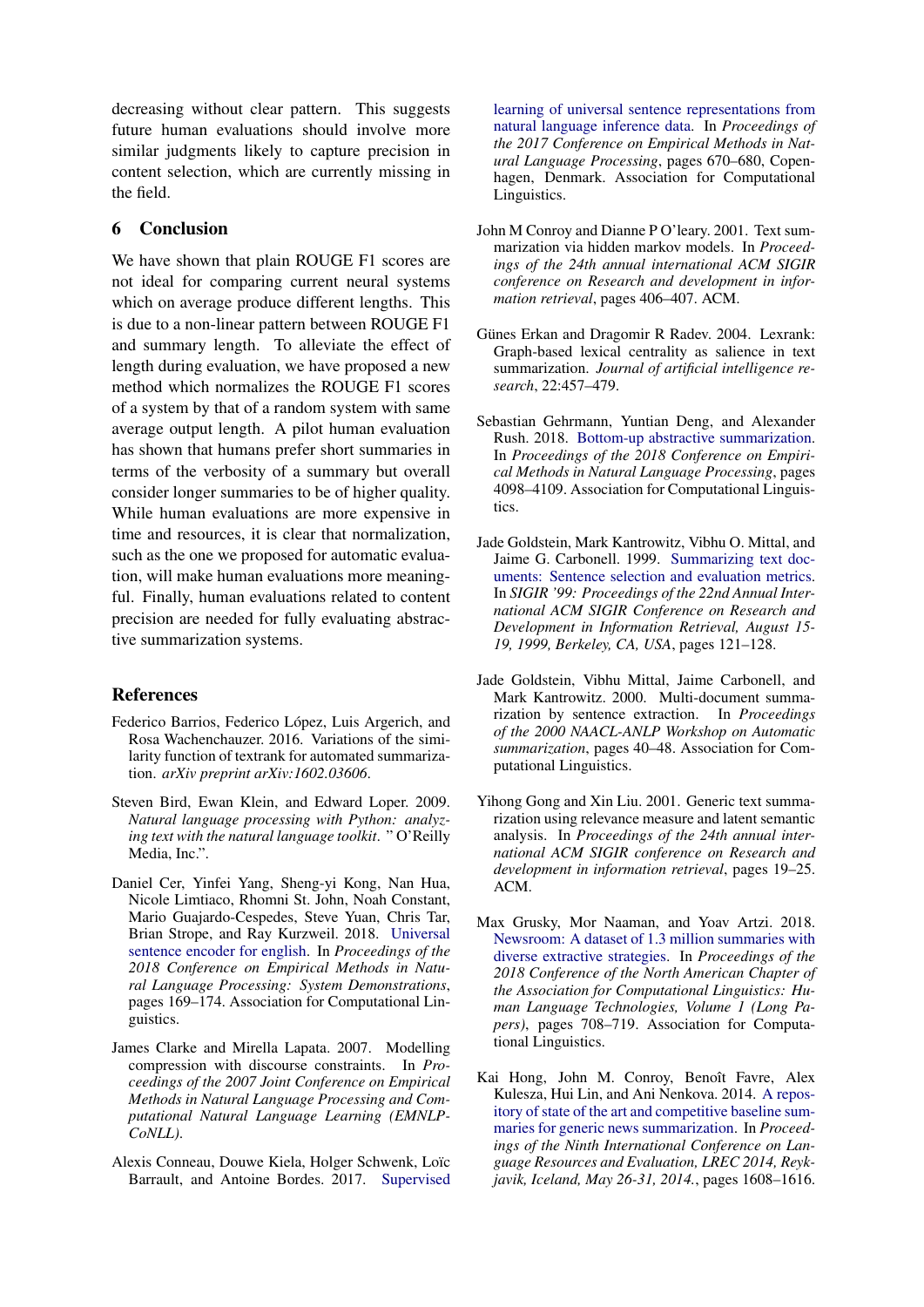decreasing without clear pattern. This suggests future human evaluations should involve more similar judgments likely to capture precision in content selection, which are currently missing in the field.

## 6 Conclusion

We have shown that plain ROUGE F1 scores are not ideal for comparing current neural systems which on average produce different lengths. This is due to a non-linear pattern between ROUGE F1 and summary length. To alleviate the effect of length during evaluation, we have proposed a new method which normalizes the ROUGE F1 scores of a system by that of a random system with same average output length. A pilot human evaluation has shown that humans prefer short summaries in terms of the verbosity of a summary but overall consider longer summaries to be of higher quality. While human evaluations are more expensive in time and resources, it is clear that normalization, such as the one we proposed for automatic evaluation, will make human evaluations more meaningful. Finally, human evaluations related to content precision are needed for fully evaluating abstractive summarization systems.

# References

- <span id="page-6-8"></span>Federico Barrios, Federico López, Luis Argerich, and Rosa Wachenchauzer. 2016. Variations of the similarity function of textrank for automated summarization. *arXiv preprint arXiv:1602.03606*.
- <span id="page-6-7"></span>Steven Bird, Ewan Klein, and Edward Loper. 2009. *Natural language processing with Python: analyzing text with the natural language toolkit*. " O'Reilly Media, Inc.".
- <span id="page-6-9"></span>Daniel Cer, Yinfei Yang, Sheng-yi Kong, Nan Hua, Nicole Limtiaco, Rhomni St. John, Noah Constant, Mario Guajardo-Cespedes, Steve Yuan, Chris Tar, Brian Strope, and Ray Kurzweil. 2018. [Universal](http://aclweb.org/anthology/D18-2029) [sentence encoder for english.](http://aclweb.org/anthology/D18-2029) In *Proceedings of the 2018 Conference on Empirical Methods in Natural Language Processing: System Demonstrations*, pages 169–174. Association for Computational Linguistics.
- <span id="page-6-5"></span>James Clarke and Mirella Lapata. 2007. Modelling compression with discourse constraints. In *Proceedings of the 2007 Joint Conference on Empirical Methods in Natural Language Processing and Computational Natural Language Learning (EMNLP-CoNLL)*.
- <span id="page-6-10"></span>Alexis Conneau, Douwe Kiela, Holger Schwenk, Loïc Barrault, and Antoine Bordes. 2017. [Supervised](https://www.aclweb.org/anthology/D17-1070)

[learning of universal sentence representations from](https://www.aclweb.org/anthology/D17-1070) [natural language inference data.](https://www.aclweb.org/anthology/D17-1070) In *Proceedings of the 2017 Conference on Empirical Methods in Natural Language Processing*, pages 670–680, Copenhagen, Denmark. Association for Computational Linguistics.

- <span id="page-6-2"></span>John M Conroy and Dianne P O'leary. 2001. Text summarization via hidden markov models. In *Proceedings of the 24th annual international ACM SIGIR conference on Research and development in information retrieval*, pages 406–407. ACM.
- <span id="page-6-0"></span>Günes Erkan and Dragomir R Radev. 2004. Lexrank: Graph-based lexical centrality as salience in text summarization. *Journal of artificial intelligence research*, 22:457–479.
- <span id="page-6-11"></span>Sebastian Gehrmann, Yuntian Deng, and Alexander Rush. 2018. [Bottom-up abstractive summarization.](http://aclweb.org/anthology/D18-1443) In *Proceedings of the 2018 Conference on Empirical Methods in Natural Language Processing*, pages 4098–4109. Association for Computational Linguistics.
- <span id="page-6-4"></span>Jade Goldstein, Mark Kantrowitz, Vibhu O. Mittal, and Jaime G. Carbonell. 1999. [Summarizing text doc](https://doi.org/10.1145/312624.312665)[uments: Sentence selection and evaluation metrics.](https://doi.org/10.1145/312624.312665) In *SIGIR '99: Proceedings of the 22nd Annual International ACM SIGIR Conference on Research and Development in Information Retrieval, August 15- 19, 1999, Berkeley, CA, USA*, pages 121–128.
- <span id="page-6-3"></span>Jade Goldstein, Vibhu Mittal, Jaime Carbonell, and Mark Kantrowitz. 2000. Multi-document summarization by sentence extraction. In *Proceedings of the 2000 NAACL-ANLP Workshop on Automatic summarization*, pages 40–48. Association for Computational Linguistics.
- <span id="page-6-1"></span>Yihong Gong and Xin Liu. 2001. Generic text summarization using relevance measure and latent semantic analysis. In *Proceedings of the 24th annual international ACM SIGIR conference on Research and development in information retrieval*, pages 19–25. ACM.
- <span id="page-6-12"></span>Max Grusky, Mor Naaman, and Yoav Artzi. 2018. [Newsroom: A dataset of 1.3 million summaries with](https://doi.org/10.18653/v1/N18-1065) [diverse extractive strategies.](https://doi.org/10.18653/v1/N18-1065) In *Proceedings of the 2018 Conference of the North American Chapter of the Association for Computational Linguistics: Human Language Technologies, Volume 1 (Long Papers)*, pages 708–719. Association for Computational Linguistics.
- <span id="page-6-6"></span>Kai Hong, John M. Conroy, Benoît Favre, Alex Kulesza, Hui Lin, and Ani Nenkova. 2014. [A repos](http://www.lrec-conf.org/proceedings/lrec2014/summaries/1093.html)[itory of state of the art and competitive baseline sum](http://www.lrec-conf.org/proceedings/lrec2014/summaries/1093.html)[maries for generic news summarization.](http://www.lrec-conf.org/proceedings/lrec2014/summaries/1093.html) In *Proceedings of the Ninth International Conference on Language Resources and Evaluation, LREC 2014, Reykjavik, Iceland, May 26-31, 2014.*, pages 1608–1616.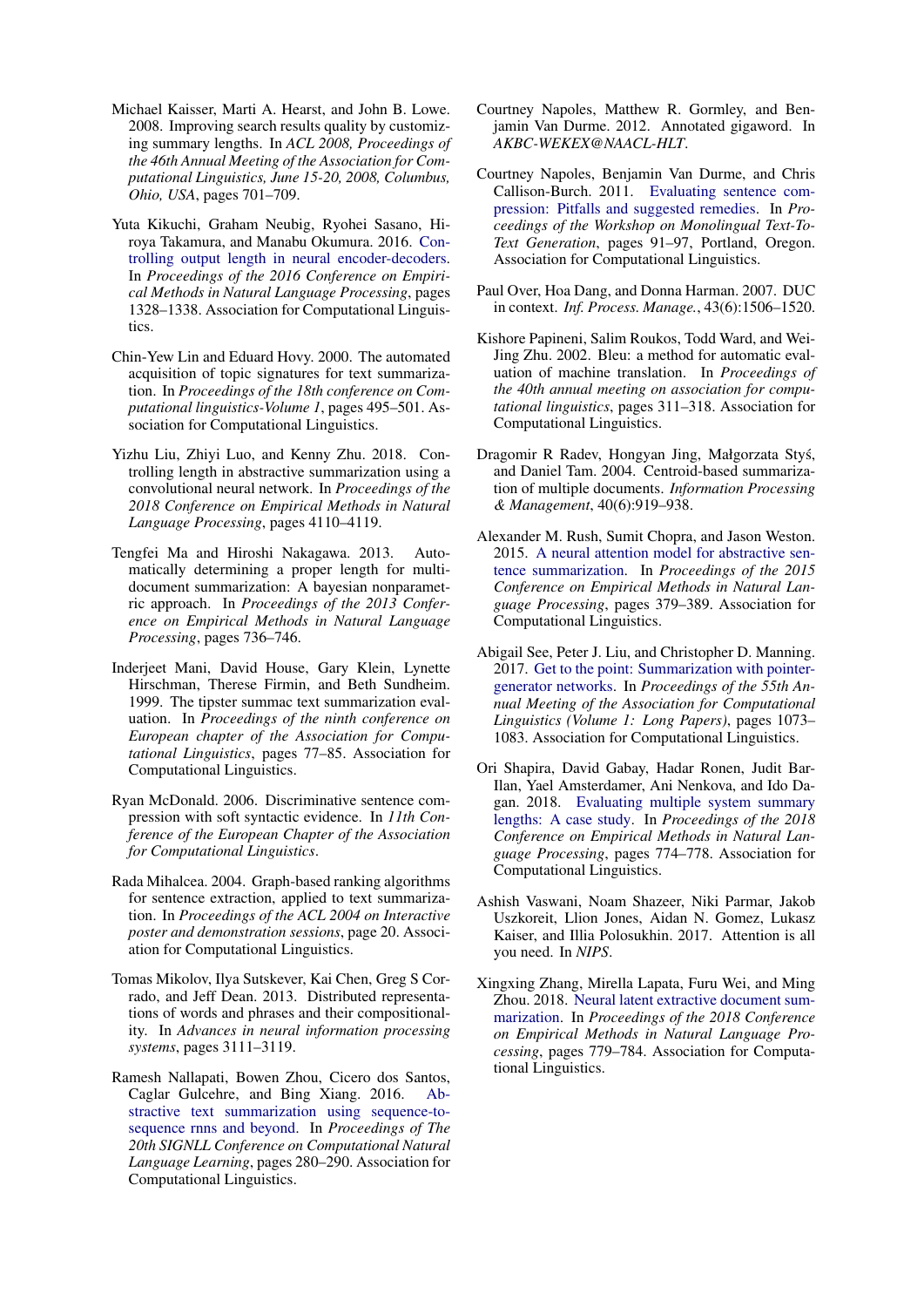- <span id="page-7-8"></span>Michael Kaisser, Marti A. Hearst, and John B. Lowe. 2008. Improving search results quality by customizing summary lengths. In *ACL 2008, Proceedings of the 46th Annual Meeting of the Association for Computational Linguistics, June 15-20, 2008, Columbus, Ohio, USA*, pages 701–709.
- <span id="page-7-5"></span>Yuta Kikuchi, Graham Neubig, Ryohei Sasano, Hiroya Takamura, and Manabu Okumura. 2016. [Con](https://doi.org/10.18653/v1/D16-1140)[trolling output length in neural encoder-decoders.](https://doi.org/10.18653/v1/D16-1140) In *Proceedings of the 2016 Conference on Empirical Methods in Natural Language Processing*, pages 1328–1338. Association for Computational Linguistics.
- <span id="page-7-2"></span>Chin-Yew Lin and Eduard Hovy. 2000. The automated acquisition of topic signatures for text summarization. In *Proceedings of the 18th conference on Computational linguistics-Volume 1*, pages 495–501. Association for Computational Linguistics.
- <span id="page-7-6"></span>Yizhu Liu, Zhiyi Luo, and Kenny Zhu. 2018. Controlling length in abstractive summarization using a convolutional neural network. In *Proceedings of the 2018 Conference on Empirical Methods in Natural Language Processing*, pages 4110–4119.
- <span id="page-7-4"></span>Tengfei Ma and Hiroshi Nakagawa. 2013. Automatically determining a proper length for multidocument summarization: A bayesian nonparametric approach. In *Proceedings of the 2013 Conference on Empirical Methods in Natural Language Processing*, pages 736–746.
- <span id="page-7-9"></span>Inderjeet Mani, David House, Gary Klein, Lynette Hirschman, Therese Firmin, and Beth Sundheim. 1999. The tipster summac text summarization evaluation. In *Proceedings of the ninth conference on European chapter of the Association for Computational Linguistics*, pages 77–85. Association for Computational Linguistics.
- <span id="page-7-10"></span>Ryan McDonald. 2006. Discriminative sentence compression with soft syntactic evidence. In *11th Conference of the European Chapter of the Association for Computational Linguistics*.
- <span id="page-7-3"></span>Rada Mihalcea. 2004. Graph-based ranking algorithms for sentence extraction, applied to text summarization. In *Proceedings of the ACL 2004 on Interactive poster and demonstration sessions*, page 20. Association for Computational Linguistics.
- <span id="page-7-15"></span>Tomas Mikolov, Ilya Sutskever, Kai Chen, Greg S Corrado, and Jeff Dean. 2013. Distributed representations of words and phrases and their compositionality. In *Advances in neural information processing systems*, pages 3111–3119.
- <span id="page-7-12"></span>Ramesh Nallapati, Bowen Zhou, Cicero dos Santos, Caglar Gulcehre, and Bing Xiang. 2016. [Ab](https://doi.org/10.18653/v1/K16-1028)[stractive text summarization using sequence-to](https://doi.org/10.18653/v1/K16-1028)[sequence rnns and beyond.](https://doi.org/10.18653/v1/K16-1028) In *Proceedings of The 20th SIGNLL Conference on Computational Natural Language Learning*, pages 280–290. Association for Computational Linguistics.
- <span id="page-7-19"></span>Courtney Napoles, Matthew R. Gormley, and Benjamin Van Durme. 2012. Annotated gigaword. In *AKBC-WEKEX@NAACL-HLT*.
- <span id="page-7-11"></span>Courtney Napoles, Benjamin Van Durme, and Chris Callison-Burch. 2011. [Evaluating sentence com](https://www.aclweb.org/anthology/W11-1611)[pression: Pitfalls and suggested remedies.](https://www.aclweb.org/anthology/W11-1611) In *Proceedings of the Workshop on Monolingual Text-To-Text Generation*, pages 91–97, Portland, Oregon. Association for Computational Linguistics.
- <span id="page-7-0"></span>Paul Over, Hoa Dang, and Donna Harman. 2007. DUC in context. *Inf. Process. Manage.*, 43(6):1506–1520.
- <span id="page-7-16"></span>Kishore Papineni, Salim Roukos, Todd Ward, and Wei-Jing Zhu. 2002. Bleu: a method for automatic evaluation of machine translation. In *Proceedings of the 40th annual meeting on association for computational linguistics*, pages 311–318. Association for Computational Linguistics.
- <span id="page-7-1"></span>Dragomir R Radev, Hongyan Jing, Małgorzata Stys,´ and Daniel Tam. 2004. Centroid-based summarization of multiple documents. *Information Processing & Management*, 40(6):919–938.
- <span id="page-7-7"></span>Alexander M. Rush, Sumit Chopra, and Jason Weston. 2015. [A neural attention model for abstractive sen](https://doi.org/10.18653/v1/D15-1044)[tence summarization.](https://doi.org/10.18653/v1/D15-1044) In *Proceedings of the 2015 Conference on Empirical Methods in Natural Language Processing*, pages 379–389. Association for Computational Linguistics.
- <span id="page-7-14"></span>Abigail See, Peter J. Liu, and Christopher D. Manning. 2017. [Get to the point: Summarization with pointer](https://doi.org/10.18653/v1/P17-1099)[generator networks.](https://doi.org/10.18653/v1/P17-1099) In *Proceedings of the 55th Annual Meeting of the Association for Computational Linguistics (Volume 1: Long Papers)*, pages 1073– 1083. Association for Computational Linguistics.
- <span id="page-7-13"></span>Ori Shapira, David Gabay, Hadar Ronen, Judit Bar-Ilan, Yael Amsterdamer, Ani Nenkova, and Ido Dagan. 2018. [Evaluating multiple system summary](http://aclweb.org/anthology/D18-1087) [lengths: A case study.](http://aclweb.org/anthology/D18-1087) In *Proceedings of the 2018 Conference on Empirical Methods in Natural Language Processing*, pages 774–778. Association for Computational Linguistics.
- <span id="page-7-17"></span>Ashish Vaswani, Noam Shazeer, Niki Parmar, Jakob Uszkoreit, Llion Jones, Aidan N. Gomez, Lukasz Kaiser, and Illia Polosukhin. 2017. Attention is all you need. In *NIPS*.
- <span id="page-7-18"></span>Xingxing Zhang, Mirella Lapata, Furu Wei, and Ming Zhou. 2018. [Neural latent extractive document sum](http://aclweb.org/anthology/D18-1088)[marization.](http://aclweb.org/anthology/D18-1088) In *Proceedings of the 2018 Conference on Empirical Methods in Natural Language Processing*, pages 779–784. Association for Computational Linguistics.